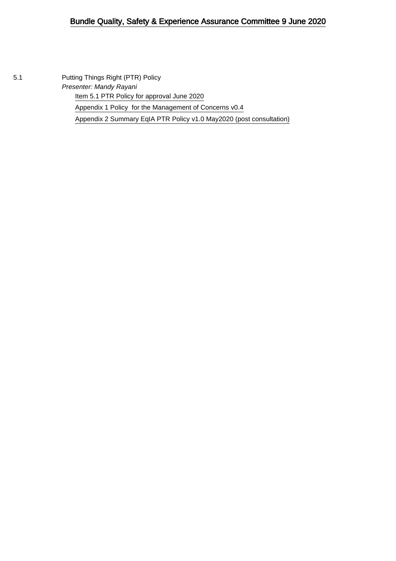#### Bundle Quality, Safety & Experience Assurance Committee 9 June 2020

5.1 Putting Things Right (PTR) Policy Presenter: Mandy Rayani [Item 5.1 PTR Policy for approval June 2020](#page-1-0) [Appendix 1 Policy for the Management of Concerns v0.4](#page-6-0) [Appendix 2 Summary EqIA PTR Policy v1.0 May2020 \(post consultation\)](#page-23-0)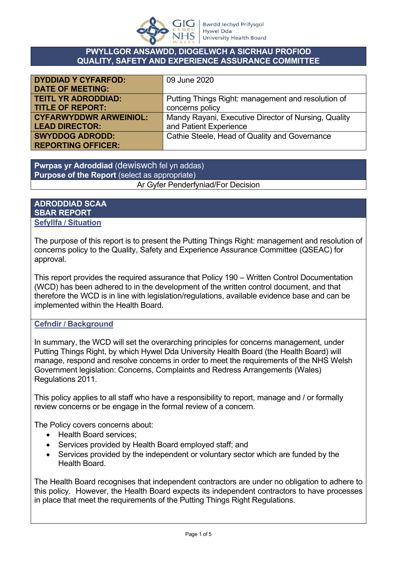

#### **PWYLLGOR ANSAWDD, DIOGELWCH A SICRHAU PROFIOD QUALITY, SAFETY AND EXPERIENCE ASSURANCE COMMITTEE**

<span id="page-1-0"></span>

| <b>DYDDIAD Y CYFARFOD:</b>    | 09 June 2020                                         |
|-------------------------------|------------------------------------------------------|
| <b>DATE OF MEETING:</b>       |                                                      |
| <b>TEITL YR ADRODDIAD:</b>    | Putting Things Right: management and resolution of   |
| <b>TITLE OF REPORT:</b>       | concerns policy                                      |
| <b>CYFARWYDDWR ARWEINIOL:</b> | Mandy Rayani, Executive Director of Nursing, Quality |
| <b>LEAD DIRECTOR:</b>         | and Patient Experience                               |
| <b>SWYDDOG ADRODD:</b>        | Cathie Steele, Head of Quality and Governance        |
| <b>REPORTING OFFICER:</b>     |                                                      |

**Pwrpas yr Adroddiad** (dewiswch fel yn addas) **Purpose of the Report** (select as appropriate) Ar Gyfer Penderfyniad/For Decision

#### **ADRODDIAD SCAA SBAR REPORT Sefyllfa / Situation**

The purpose of this report is to present the Putting Things Right: management and resolution of concerns policy to the Quality, Safety and Experience Assurance Committee (QSEAC) for approval.

This report provides the required assurance that Policy 190 – Written Control Documentation (WCD) has been adhered to in the development of the written control document, and that therefore the WCD is in line with legislation/regulations, available evidence base and can be implemented within the Health Board.

#### **Cefndir / Background**

In summary, the WCD will set the overarching principles for concerns management, under Putting Things Right, by which Hywel Dda University Health Board (the Health Board) will manage, respond and resolve concerns in order to meet the requirements of the NHS Welsh Government legislation: Concerns, Complaints and Redress Arrangements (Wales) Regulations 2011.

This policy applies to all staff who have a responsibility to report, manage and / or formally review concerns or be engage in the formal review of a concern.

The Policy covers concerns about:

- Health Board services:
- Services provided by Health Board employed staff: and
- Services provided by the independent or voluntary sector which are funded by the Health Board.

The Health Board recognises that independent contractors are under no obligation to adhere to this policy. However, the Health Board expects its independent contractors to have processes in place that meet the requirements of the Putting Things Right Regulations.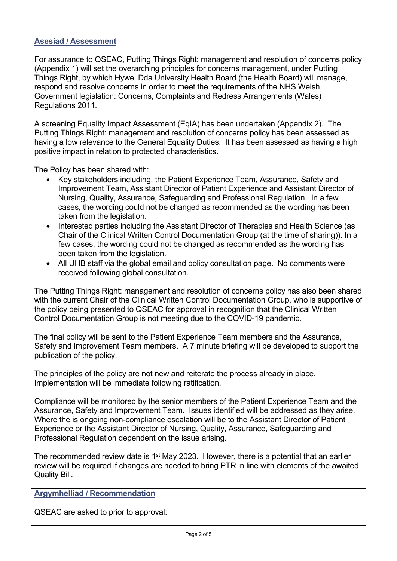#### **Asesiad / Assessment**

For assurance to QSEAC, Putting Things Right: management and resolution of concerns policy (Appendix 1) will set the overarching principles for concerns management, under Putting Things Right, by which Hywel Dda University Health Board (the Health Board) will manage, respond and resolve concerns in order to meet the requirements of the NHS Welsh Government legislation: Concerns, Complaints and Redress Arrangements (Wales) Regulations 2011.

A screening Equality Impact Assessment (EqIA) has been undertaken (Appendix 2). The Putting Things Right: management and resolution of concerns policy has been assessed as having a low relevance to the General Equality Duties. It has been assessed as having a high positive impact in relation to protected characteristics.

The Policy has been shared with:

- Key stakeholders including, the Patient Experience Team, Assurance, Safety and Improvement Team, Assistant Director of Patient Experience and Assistant Director of Nursing, Quality, Assurance, Safeguarding and Professional Regulation. In a few cases, the wording could not be changed as recommended as the wording has been taken from the legislation.
- Interested parties including the Assistant Director of Therapies and Health Science (as Chair of the Clinical Written Control Documentation Group (at the time of sharing)). In a few cases, the wording could not be changed as recommended as the wording has been taken from the legislation.
- All UHB staff via the global email and policy consultation page. No comments were received following global consultation.

The Putting Things Right: management and resolution of concerns policy has also been shared with the current Chair of the Clinical Written Control Documentation Group, who is supportive of the policy being presented to QSEAC for approval in recognition that the Clinical Written Control Documentation Group is not meeting due to the COVID-19 pandemic.

The final policy will be sent to the Patient Experience Team members and the Assurance, Safety and Improvement Team members. A 7 minute briefing will be developed to support the publication of the policy.

The principles of the policy are not new and reiterate the process already in place. Implementation will be immediate following ratification.

Compliance will be monitored by the senior members of the Patient Experience Team and the Assurance, Safety and Improvement Team. Issues identified will be addressed as they arise. Where the is ongoing non-compliance escalation will be to the Assistant Director of Patient Experience or the Assistant Director of Nursing, Quality, Assurance, Safeguarding and Professional Regulation dependent on the issue arising.

The recommended review date is  $1<sup>st</sup>$  May 2023. However, there is a potential that an earlier review will be required if changes are needed to bring PTR in line with elements of the awaited Quality Bill.

**Argymhelliad / Recommendation**

QSEAC are asked to prior to approval: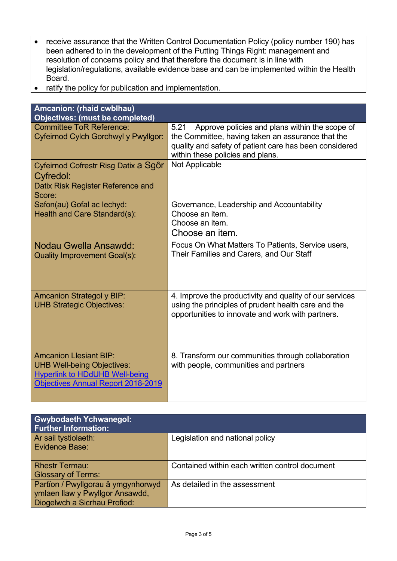- receive assurance that the Written Control Documentation Policy (policy number 190) has been adhered to in the development of the Putting Things Right: management and resolution of concerns policy and that therefore the document is in line with legislation/regulations, available evidence base and can be implemented within the Health Board.
- ratify the policy for publication and implementation.

| Amcanion: (rhaid cwblhau)                                                                                                                                |                                                                                                                                                                                                           |
|----------------------------------------------------------------------------------------------------------------------------------------------------------|-----------------------------------------------------------------------------------------------------------------------------------------------------------------------------------------------------------|
| <b>Objectives: (must be completed)</b>                                                                                                                   |                                                                                                                                                                                                           |
| <b>Committee ToR Reference:</b><br>Cyfeirnod Cylch Gorchwyl y Pwyllgor:                                                                                  | Approve policies and plans within the scope of<br>5.21<br>the Committee, having taken an assurance that the<br>quality and safety of patient care has been considered<br>within these policies and plans. |
| Cyfeirnod Cofrestr Risg Datix a Sgôr<br>Cyfredol:<br>Datix Risk Register Reference and<br>Score:                                                         | Not Applicable                                                                                                                                                                                            |
| Safon(au) Gofal ac lechyd:<br>Health and Care Standard(s):                                                                                               | Governance, Leadership and Accountability<br>Choose an item.<br>Choose an item.<br>Choose an item.                                                                                                        |
| Nodau Gwella Ansawdd:<br><b>Quality Improvement Goal(s):</b>                                                                                             | Focus On What Matters To Patients, Service users,<br>Their Families and Carers, and Our Staff                                                                                                             |
| <b>Amcanion Strategol y BIP:</b><br><b>UHB Strategic Objectives:</b>                                                                                     | 4. Improve the productivity and quality of our services<br>using the principles of prudent health care and the<br>opportunities to innovate and work with partners.                                       |
| <b>Amcanion Llesiant BIP:</b><br><b>UHB Well-being Objectives:</b><br><b>Hyperlink to HDdUHB Well-being</b><br><b>Objectives Annual Report 2018-2019</b> | 8. Transform our communities through collaboration<br>with people, communities and partners                                                                                                               |

| <b>Gwybodaeth Ychwanegol:</b><br><b>Further Information:</b> |                                                |
|--------------------------------------------------------------|------------------------------------------------|
| Ar sail tystiolaeth:                                         | Legislation and national policy                |
| Evidence Base:                                               |                                                |
| <b>Rhestr Termau:</b>                                        | Contained within each written control document |
| <b>Glossary of Terms:</b>                                    |                                                |
| Partïon / Pwyllgorau â ymgynhorwyd                           | As detailed in the assessment                  |
| ymlaen llaw y Pwyllgor Ansawdd,                              |                                                |
| Diogelwch a Sicrhau Profiod:                                 |                                                |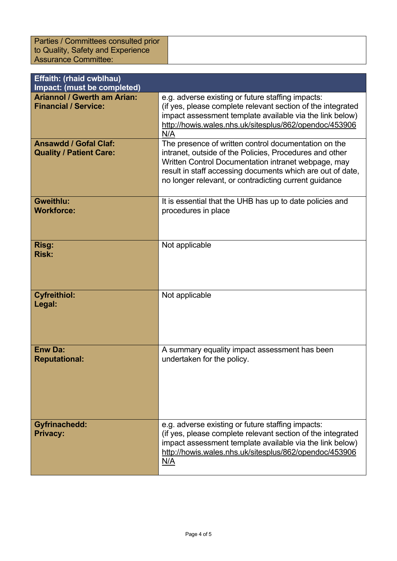Parties / Committees consulted prior to Quality, Safety and Experience Assurance Committee:

| Effaith: (rhaid cwblhau)<br>Impact: (must be completed)           |                                                                                                                                                                                                                                                                                               |
|-------------------------------------------------------------------|-----------------------------------------------------------------------------------------------------------------------------------------------------------------------------------------------------------------------------------------------------------------------------------------------|
| <b>Ariannol / Gwerth am Arian:</b><br><b>Financial / Service:</b> | e.g. adverse existing or future staffing impacts:<br>(if yes, please complete relevant section of the integrated<br>impact assessment template available via the link below)<br>http://howis.wales.nhs.uk/sitesplus/862/opendoc/453906<br>N/A                                                 |
| <b>Ansawdd / Gofal Claf:</b><br><b>Quality / Patient Care:</b>    | The presence of written control documentation on the<br>intranet, outside of the Policies, Procedures and other<br>Written Control Documentation intranet webpage, may<br>result in staff accessing documents which are out of date,<br>no longer relevant, or contradicting current guidance |
| <b>Gweithlu:</b><br><b>Workforce:</b>                             | It is essential that the UHB has up to date policies and<br>procedures in place                                                                                                                                                                                                               |
| Risg:<br><b>Risk:</b>                                             | Not applicable                                                                                                                                                                                                                                                                                |
| <b>Cyfreithiol:</b><br>Legal:                                     | Not applicable                                                                                                                                                                                                                                                                                |
| <b>Enw Da:</b><br><b>Reputational:</b>                            | A summary equality impact assessment has been<br>undertaken for the policy.                                                                                                                                                                                                                   |
| <b>Gyfrinachedd:</b><br><b>Privacy:</b>                           | e.g. adverse existing or future staffing impacts:<br>(if yes, please complete relevant section of the integrated<br>impact assessment template available via the link below)<br>http://howis.wales.nhs.uk/sitesplus/862/opendoc/453906<br>N/A                                                 |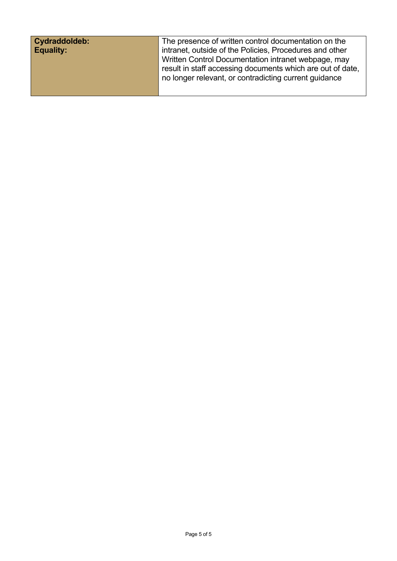| Cydraddoldeb:    | The presence of written control documentation on the       |
|------------------|------------------------------------------------------------|
| <b>Equality:</b> | intranet, outside of the Policies, Procedures and other    |
|                  | Written Control Documentation intranet webpage, may        |
|                  | result in staff accessing documents which are out of date, |
|                  | no longer relevant, or contradicting current guidance      |
|                  |                                                            |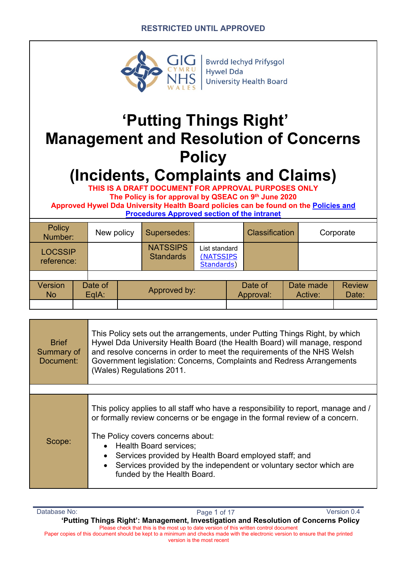#### **RESTRICTED UNTIL APPROVED**

<span id="page-6-0"></span>

**Bwrdd lechyd Prifysgol Hywel Dda University Health Board** 

# **'Putting Things Right' Management and Resolution of Concerns Policy**

# **(Incidents, Complaints and Claims)**

**THIS IS A DRAFT DOCUMENT FOR APPROVAL PURPOSES ONLY The Policy is for approval by QSEAC on 9th June 2020 Approved Hywel Dda University Health Board policies can be found on the Policies and Procedures Approved section of the intranet**

| Policy<br>Number:            | New policy         | Supersedes:                         |                                          | <b>Classification</b> |                      | Corporate              |
|------------------------------|--------------------|-------------------------------------|------------------------------------------|-----------------------|----------------------|------------------------|
| <b>LOCSSIP</b><br>reference: |                    | <b>NATSSIPS</b><br><b>Standards</b> | List standard<br>(NATSSIPS<br>Standards) |                       |                      |                        |
| Version<br><b>No</b>         | Date of<br>$EqA$ : | Approved by:                        |                                          | Date of<br>Approval:  | Date made<br>Active: | <b>Review</b><br>Date: |

| <b>Brief</b><br>Summary of<br>Document: | This Policy sets out the arrangements, under Putting Things Right, by which<br>Hywel Dda University Health Board (the Health Board) will manage, respond<br>and resolve concerns in order to meet the requirements of the NHS Welsh<br>Government legislation: Concerns, Complaints and Redress Arrangements<br>(Wales) Regulations 2011.                                                                                       |
|-----------------------------------------|---------------------------------------------------------------------------------------------------------------------------------------------------------------------------------------------------------------------------------------------------------------------------------------------------------------------------------------------------------------------------------------------------------------------------------|
|                                         |                                                                                                                                                                                                                                                                                                                                                                                                                                 |
| Scope:                                  | This policy applies to all staff who have a responsibility to report, manage and /<br>or formally review concerns or be engage in the formal review of a concern.<br>The Policy covers concerns about:<br><b>Health Board services:</b><br>Services provided by Health Board employed staff; and<br>$\bullet$<br>Services provided by the independent or voluntary sector which are<br>$\bullet$<br>funded by the Health Board. |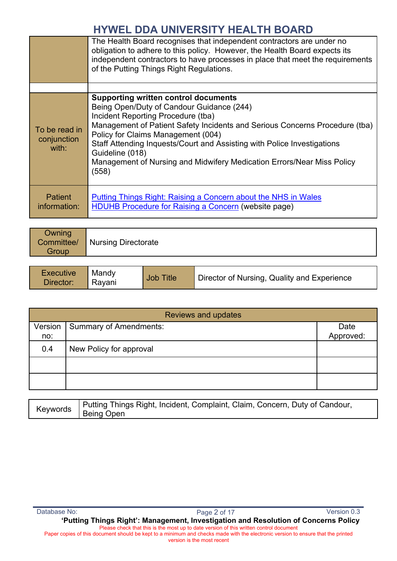|                                       | The Health Board recognises that independent contractors are under no<br>obligation to adhere to this policy. However, the Health Board expects its<br>independent contractors to have processes in place that meet the requirements<br>of the Putting Things Right Regulations.                                                                                                                                                     |
|---------------------------------------|--------------------------------------------------------------------------------------------------------------------------------------------------------------------------------------------------------------------------------------------------------------------------------------------------------------------------------------------------------------------------------------------------------------------------------------|
|                                       |                                                                                                                                                                                                                                                                                                                                                                                                                                      |
| To be read in<br>conjunction<br>with: | <b>Supporting written control documents</b><br>Being Open/Duty of Candour Guidance (244)<br>Incident Reporting Procedure (tba)<br>Management of Patient Safety Incidents and Serious Concerns Procedure (tba)<br>Policy for Claims Management (004)<br>Staff Attending Inquests/Court and Assisting with Police Investigations<br>Guideline (018)<br>Management of Nursing and Midwifery Medication Errors/Near Miss Policy<br>(558) |
| <b>Patient</b><br>information:        | <b>Putting Things Right: Raising a Concern about the NHS in Wales</b><br><b>HDUHB Procedure for Raising a Concern (website page)</b>                                                                                                                                                                                                                                                                                                 |

| Owning |                                |
|--------|--------------------------------|
|        | Committee/ Nursing Directorate |
| Group  |                                |
|        |                                |

| <b>Executive</b><br>Mandy<br>Director:<br>' Ravani | <b>Job Title</b> | Director of Nursing, Quality and Experience |
|----------------------------------------------------|------------------|---------------------------------------------|
|----------------------------------------------------|------------------|---------------------------------------------|

|         | <b>Reviews and updates</b>    |           |  |  |
|---------|-------------------------------|-----------|--|--|
| Version | <b>Summary of Amendments:</b> | Date      |  |  |
| no:     |                               | Approved: |  |  |
| 0.4     | New Policy for approval       |           |  |  |
|         |                               |           |  |  |
|         |                               |           |  |  |

| Putting Things Right, Incident, Complaint, Claim, Concern, Duty of Candour, |
|-----------------------------------------------------------------------------|
| '≦≏ywords │ Being Open                                                      |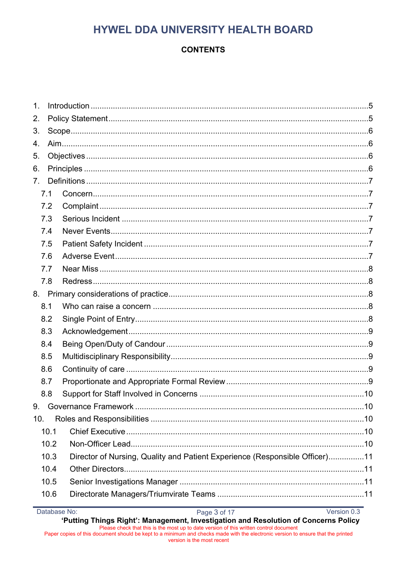## **CONTENTS**

| 1.              |      |      |                                                                             |  |  |  |  |
|-----------------|------|------|-----------------------------------------------------------------------------|--|--|--|--|
| 2.              |      |      |                                                                             |  |  |  |  |
| 3.              |      |      |                                                                             |  |  |  |  |
| 4.              |      |      |                                                                             |  |  |  |  |
| 5.              |      |      |                                                                             |  |  |  |  |
| 6.              |      |      |                                                                             |  |  |  |  |
| 7 <sub>1</sub>  |      |      |                                                                             |  |  |  |  |
|                 | 7.1  |      |                                                                             |  |  |  |  |
|                 | 7.2  |      |                                                                             |  |  |  |  |
|                 | 7.3  |      |                                                                             |  |  |  |  |
|                 | 7.4  |      |                                                                             |  |  |  |  |
|                 | 7.5  |      |                                                                             |  |  |  |  |
|                 | 7.6  |      |                                                                             |  |  |  |  |
|                 | 7.7  |      |                                                                             |  |  |  |  |
|                 | 7.8  |      |                                                                             |  |  |  |  |
|                 |      |      |                                                                             |  |  |  |  |
|                 | 8.1  |      |                                                                             |  |  |  |  |
|                 | 8.2  |      |                                                                             |  |  |  |  |
|                 | 8.3  |      |                                                                             |  |  |  |  |
|                 | 8.4  |      |                                                                             |  |  |  |  |
|                 | 8.5  |      |                                                                             |  |  |  |  |
|                 | 8.6  |      |                                                                             |  |  |  |  |
|                 | 8.7  |      |                                                                             |  |  |  |  |
|                 | 8.8  |      |                                                                             |  |  |  |  |
| 9.              |      |      |                                                                             |  |  |  |  |
| 10 <sub>1</sub> |      |      |                                                                             |  |  |  |  |
|                 | 10.1 |      |                                                                             |  |  |  |  |
|                 |      | 10.2 |                                                                             |  |  |  |  |
|                 |      | 10.3 | Director of Nursing, Quality and Patient Experience (Responsible Officer)11 |  |  |  |  |
|                 |      | 10.4 |                                                                             |  |  |  |  |
|                 |      | 10.5 |                                                                             |  |  |  |  |
|                 |      | 10.6 |                                                                             |  |  |  |  |
|                 |      |      |                                                                             |  |  |  |  |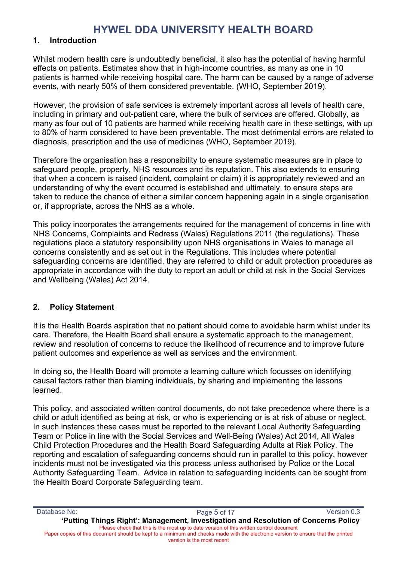#### **1. Introduction**

Whilst modern health care is undoubtedly beneficial, it also has the potential of having harmful effects on patients. Estimates show that in high-income countries, as many as one in 10 patients is harmed while receiving hospital care. The harm can be caused by a range of adverse events, with nearly 50% of them considered preventable. (WHO, September 2019).

However, the provision of safe services is extremely important across all levels of health care, including in primary and out-patient care, where the bulk of services are offered. Globally, as many as four out of 10 patients are harmed while receiving health care in these settings, with up to 80% of harm considered to have been preventable. The most detrimental errors are related to diagnosis, prescription and the use of medicines (WHO, September 2019).

Therefore the organisation has a responsibility to ensure systematic measures are in place to safeguard people, property, NHS resources and its reputation. This also extends to ensuring that when a concern is raised (incident, complaint or claim) it is appropriately reviewed and an understanding of why the event occurred is established and ultimately, to ensure steps are taken to reduce the chance of either a similar concern happening again in a single organisation or, if appropriate, across the NHS as a whole.

This policy incorporates the arrangements required for the management of concerns in line with NHS Concerns, Complaints and Redress (Wales) Regulations 2011 (the regulations). These regulations place a statutory responsibility upon NHS organisations in Wales to manage all concerns consistently and as set out in the Regulations. This includes where potential safeguarding concerns are identified, they are referred to child or adult protection procedures as appropriate in accordance with the duty to report an adult or child at risk in the Social Services and Wellbeing (Wales) Act 2014.

#### **2. Policy Statement**

It is the Health Boards aspiration that no patient should come to avoidable harm whilst under its care. Therefore, the Health Board shall ensure a systematic approach to the management, review and resolution of concerns to reduce the likelihood of recurrence and to improve future patient outcomes and experience as well as services and the environment.

In doing so, the Health Board will promote a learning culture which focusses on identifying causal factors rather than blaming individuals, by sharing and implementing the lessons learned.

This policy, and associated written control documents, do not take precedence where there is a child or adult identified as being at risk, or who is experiencing or is at risk of abuse or neglect. In such instances these cases must be reported to the relevant Local Authority Safeguarding Team or Police in line with the Social Services and Well-Being (Wales) Act 2014, All Wales Child Protection Procedures and the Health Board Safeguarding Adults at Risk Policy. The reporting and escalation of safeguarding concerns should run in parallel to this policy, however incidents must not be investigated via this process unless authorised by Police or the Local Authority Safeguarding Team. Advice in relation to safeguarding incidents can be sought from the Health Board Corporate Safeguarding team.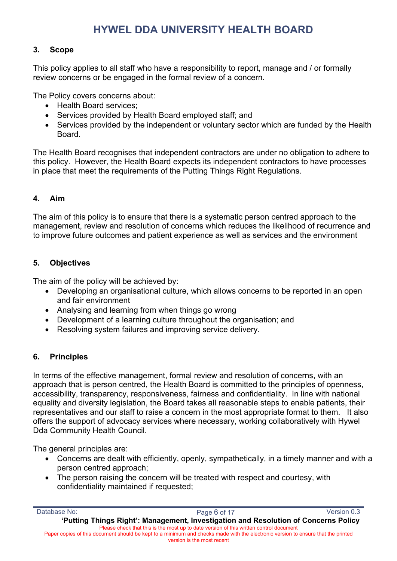#### **3. Scope**

This policy applies to all staff who have a responsibility to report, manage and / or formally review concerns or be engaged in the formal review of a concern.

The Policy covers concerns about:

- Health Board services;
- Services provided by Health Board employed staff; and
- Services provided by the independent or voluntary sector which are funded by the Health Board.

The Health Board recognises that independent contractors are under no obligation to adhere to this policy. However, the Health Board expects its independent contractors to have processes in place that meet the requirements of the Putting Things Right Regulations.

### **4. Aim**

The aim of this policy is to ensure that there is a systematic person centred approach to the management, review and resolution of concerns which reduces the likelihood of recurrence and to improve future outcomes and patient experience as well as services and the environment

#### **5. Objectives**

The aim of the policy will be achieved by:

- Developing an organisational culture, which allows concerns to be reported in an open and fair environment
- Analysing and learning from when things go wrong
- Development of a learning culture throughout the organisation; and
- Resolving system failures and improving service delivery.

### **6. Principles**

In terms of the effective management, formal review and resolution of concerns, with an approach that is person centred, the Health Board is committed to the principles of openness, accessibility, transparency, responsiveness, fairness and confidentiality. In line with national equality and diversity legislation, the Board takes all reasonable steps to enable patients, their representatives and our staff to raise a concern in the most appropriate format to them. It also offers the support of advocacy services where necessary, working collaboratively with Hywel Dda Community Health Council.

The general principles are:

- Concerns are dealt with efficiently, openly, sympathetically, in a timely manner and with a person centred approach;
- The person raising the concern will be treated with respect and courtesy, with confidentiality maintained if requested;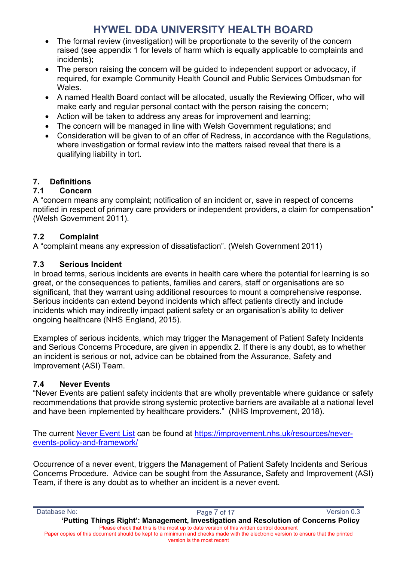- The formal review (investigation) will be proportionate to the severity of the concern raised (see appendix 1 for levels of harm which is equally applicable to complaints and incidents);
- The person raising the concern will be guided to independent support or advocacy, if required, for example Community Health Council and Public Services Ombudsman for **Wales**
- A named Health Board contact will be allocated, usually the Reviewing Officer, who will make early and regular personal contact with the person raising the concern;
- Action will be taken to address any areas for improvement and learning;
- The concern will be managed in line with Welsh Government regulations; and
- Consideration will be given to of an offer of Redress, in accordance with the Regulations, where investigation or formal review into the matters raised reveal that there is a qualifying liability in tort.

#### **7. Definitions**

#### **7.1 Concern**

A "concern means any complaint; notification of an incident or, save in respect of concerns notified in respect of primary care providers or independent providers, a claim for compensation" (Welsh Government 2011).

#### **7.2 Complaint**

A "complaint means any expression of dissatisfaction". (Welsh Government 2011)

#### **7.3 Serious Incident**

In broad terms, serious incidents are events in health care where the potential for learning is so great, or the consequences to patients, families and carers, staff or organisations are so significant, that they warrant using additional resources to mount a comprehensive response. Serious incidents can extend beyond incidents which affect patients directly and include incidents which may indirectly impact patient safety or an organisation's ability to deliver ongoing healthcare (NHS England, 2015).

Examples of serious incidents, which may trigger the Management of Patient Safety Incidents and Serious Concerns Procedure, are given in appendix 2. If there is any doubt, as to whether an incident is serious or not, advice can be obtained from the Assurance, Safety and Improvement (ASI) Team.

### **7.4 Never Events**

"Never Events are patient safety incidents that are wholly preventable where guidance or safety recommendations that provide strong systemic protective barriers are available at a national level and have been implemented by healthcare providers." (NHS Improvement, 2018).

The current Never Event List can be found at https://improvement.nhs.uk/resources/neverevents-policy-and-framework/

Occurrence of a never event, triggers the Management of Patient Safety Incidents and Serious Concerns Procedure. Advice can be sought from the Assurance, Safety and Improvement (ASI) Team, if there is any doubt as to whether an incident is a never event.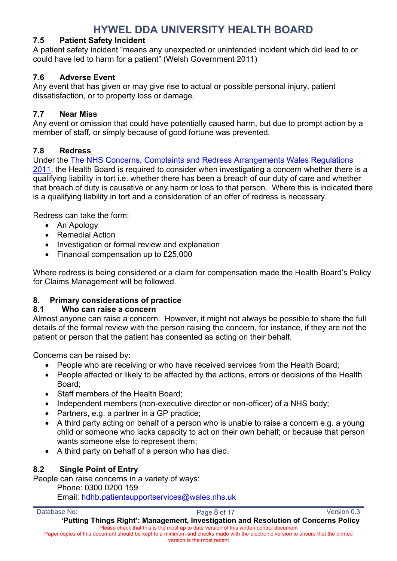#### **7.5 Patient Safety Incident**

A patient safety incident "means any unexpected or unintended incident which did lead to or could have led to harm for a patient" (Welsh Government 2011)

#### **7.6 Adverse Event**

Any event that has given or may give rise to actual or possible personal injury, patient dissatisfaction, or to property loss or damage.

#### **7.7 Near Miss**

Any event or omission that could have potentially caused harm, but due to prompt action by a member of staff, or simply because of good fortune was prevented.

#### **7.8 Redress**

Under the The NHS Concerns, Complaints and Redress Arrangements Wales Regulations 2011, the Health Board is required to consider when investigating a concern whether there is a qualifying liability in tort i.e. whether there has been a breach of our duty of care and whether that breach of duty is causative or any harm or loss to that person. Where this is indicated there is a qualifying liability in tort and a consideration of an offer of redress is necessary.

Redress can take the form:

- An Apology
- Remedial Action
- Investigation or formal review and explanation
- Financial compensation up to £25,000

Where redress is being considered or a claim for compensation made the Health Board's Policy for Claims Management will be followed.

#### **8. Primary considerations of practice**

#### **8.1 Who can raise a concern**

Almost anyone can raise a concern. However, it might not always be possible to share the full details of the formal review with the person raising the concern, for instance, if they are not the patient or person that the patient has consented as acting on their behalf.

Concerns can be raised by:

- People who are receiving or who have received services from the Health Board;
- People affected or likely to be affected by the actions, errors or decisions of the Health Board;
- Staff members of the Health Board;
- Independent members (non-executive director or non-officer) of a NHS body;
- Partners, e.g. a partner in a GP practice;
- A third party acting on behalf of a person who is unable to raise a concern e.g. a young child or someone who lacks capacity to act on their own behalf; or because that person wants someone else to represent them;
- A third party on behalf of a person who has died.

### **8.2 Single Point of Entry**

People can raise concerns in a variety of ways:

Phone: 0300 0200 159

Email: hdhb.patientsupportservices@wales.nhs.uk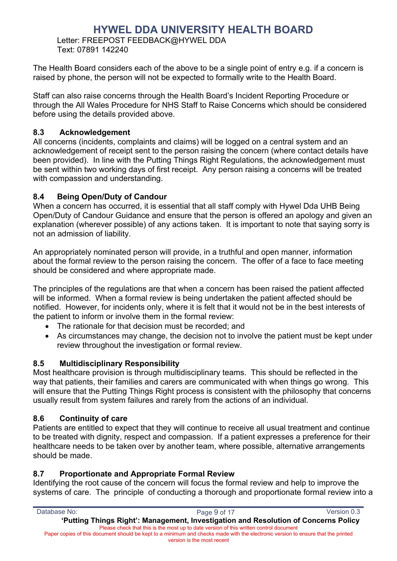Letter: FREEPOST FEEDBACK@HYWEL DDA Text: 07891 142240

The Health Board considers each of the above to be a single point of entry e.g. if a concern is raised by phone, the person will not be expected to formally write to the Health Board.

Staff can also raise concerns through the Health Board's Incident Reporting Procedure or through the All Wales Procedure for NHS Staff to Raise Concerns which should be considered before using the details provided above.

#### **8.3 Acknowledgement**

All concerns (incidents, complaints and claims) will be logged on a central system and an acknowledgement of receipt sent to the person raising the concern (where contact details have been provided). In line with the Putting Things Right Regulations, the acknowledgement must be sent within two working days of first receipt. Any person raising a concerns will be treated with compassion and understanding.

#### **8.4 Being Open/Duty of Candour**

When a concern has occurred, it is essential that all staff comply with Hywel Dda UHB Being Open/Duty of Candour Guidance and ensure that the person is offered an apology and given an explanation (wherever possible) of any actions taken. It is important to note that saying sorry is not an admission of liability.

An appropriately nominated person will provide, in a truthful and open manner, information about the formal review to the person raising the concern. The offer of a face to face meeting should be considered and where appropriate made.

The principles of the regulations are that when a concern has been raised the patient affected will be informed. When a formal review is being undertaken the patient affected should be notified. However, for incidents only, where it is felt that it would not be in the best interests of the patient to inform or involve them in the formal review:

- The rationale for that decision must be recorded; and
- As circumstances may change, the decision not to involve the patient must be kept under review throughout the investigation or formal review.

#### **8.5 Multidisciplinary Responsibility**

Most healthcare provision is through multidisciplinary teams. This should be reflected in the way that patients, their families and carers are communicated with when things go wrong. This will ensure that the Putting Things Right process is consistent with the philosophy that concerns usually result from system failures and rarely from the actions of an individual.

#### **8.6 Continuity of care**

Patients are entitled to expect that they will continue to receive all usual treatment and continue to be treated with dignity, respect and compassion. If a patient expresses a preference for their healthcare needs to be taken over by another team, where possible, alternative arrangements should be made.

#### **8.7 Proportionate and Appropriate Formal Review**

Identifying the root cause of the concern will focus the formal review and help to improve the systems of care. The principle of conducting a thorough and proportionate formal review into a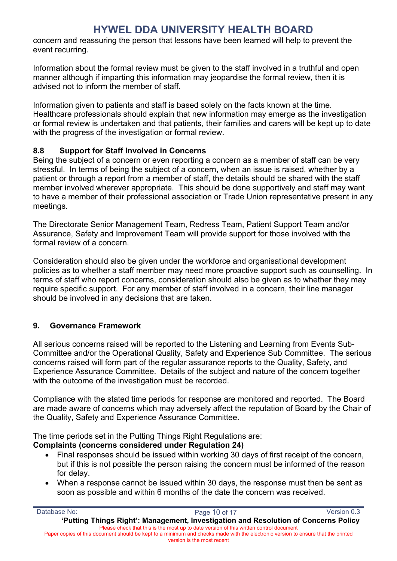concern and reassuring the person that lessons have been learned will help to prevent the event recurring.

Information about the formal review must be given to the staff involved in a truthful and open manner although if imparting this information may jeopardise the formal review, then it is advised not to inform the member of staff.

Information given to patients and staff is based solely on the facts known at the time. Healthcare professionals should explain that new information may emerge as the investigation or formal review is undertaken and that patients, their families and carers will be kept up to date with the progress of the investigation or formal review.

#### **8.8 Support for Staff Involved in Concerns**

Being the subject of a concern or even reporting a concern as a member of staff can be very stressful. In terms of being the subject of a concern, when an issue is raised, whether by a patient or through a report from a member of staff, the details should be shared with the staff member involved wherever appropriate. This should be done supportively and staff may want to have a member of their professional association or Trade Union representative present in any meetings.

The Directorate Senior Management Team, Redress Team, Patient Support Team and/or Assurance, Safety and Improvement Team will provide support for those involved with the formal review of a concern.

Consideration should also be given under the workforce and organisational development policies as to whether a staff member may need more proactive support such as counselling. In terms of staff who report concerns, consideration should also be given as to whether they may require specific support. For any member of staff involved in a concern, their line manager should be involved in any decisions that are taken.

### **9. Governance Framework**

All serious concerns raised will be reported to the Listening and Learning from Events Sub-Committee and/or the Operational Quality, Safety and Experience Sub Committee. The serious concerns raised will form part of the regular assurance reports to the Quality, Safety, and Experience Assurance Committee. Details of the subject and nature of the concern together with the outcome of the investigation must be recorded.

Compliance with the stated time periods for response are monitored and reported. The Board are made aware of concerns which may adversely affect the reputation of Board by the Chair of the Quality, Safety and Experience Assurance Committee.

The time periods set in the Putting Things Right Regulations are:

#### **Complaints (concerns considered under Regulation 24)**

- Final responses should be issued within working 30 days of first receipt of the concern, but if this is not possible the person raising the concern must be informed of the reason for delay.
- When a response cannot be issued within 30 days, the response must then be sent as soon as possible and within 6 months of the date the concern was received.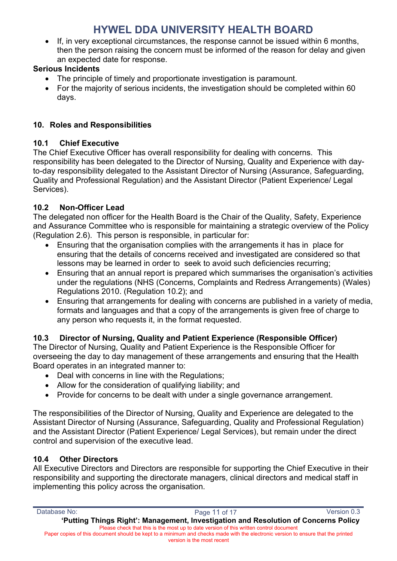If, in very exceptional circumstances, the response cannot be issued within 6 months, then the person raising the concern must be informed of the reason for delay and given an expected date for response.

### **Serious Incidents**

- The principle of timely and proportionate investigation is paramount.
- For the majority of serious incidents, the investigation should be completed within 60 days.

### **10. Roles and Responsibilities**

### **10.1 Chief Executive**

The Chief Executive Officer has overall responsibility for dealing with concerns. This responsibility has been delegated to the Director of Nursing, Quality and Experience with dayto-day responsibility delegated to the Assistant Director of Nursing (Assurance, Safeguarding, Quality and Professional Regulation) and the Assistant Director (Patient Experience/ Legal Services).

## **10.2 Non-Officer Lead**

The delegated non officer for the Health Board is the Chair of the Quality, Safety, Experience and Assurance Committee who is responsible for maintaining a strategic overview of the Policy (Regulation 2.6). This person is responsible, in particular for:

- Ensuring that the organisation complies with the arrangements it has in place for ensuring that the details of concerns received and investigated are considered so that lessons may be learned in order to seek to avoid such deficiencies recurring;
- Ensuring that an annual report is prepared which summarises the organisation's activities under the regulations (NHS (Concerns, Complaints and Redress Arrangements) (Wales) Regulations 2010. (Regulation 10.2); and
- Ensuring that arrangements for dealing with concerns are published in a variety of media, formats and languages and that a copy of the arrangements is given free of charge to any person who requests it, in the format requested.

## **10.3 Director of Nursing, Quality and Patient Experience (Responsible Officer)**

The Director of Nursing, Quality and Patient Experience is the Responsible Officer for overseeing the day to day management of these arrangements and ensuring that the Health Board operates in an integrated manner to:

- Deal with concerns in line with the Regulations;
- Allow for the consideration of qualifying liability; and
- Provide for concerns to be dealt with under a single governance arrangement.

The responsibilities of the Director of Nursing, Quality and Experience are delegated to the Assistant Director of Nursing (Assurance, Safeguarding, Quality and Professional Regulation) and the Assistant Director (Patient Experience/ Legal Services), but remain under the direct control and supervision of the executive lead.

### **10.4 Other Directors**

All Executive Directors and Directors are responsible for supporting the Chief Executive in their responsibility and supporting the directorate managers, clinical directors and medical staff in implementing this policy across the organisation.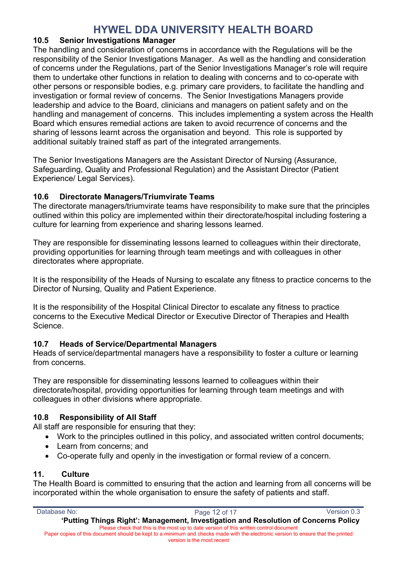#### **10.5 Senior Investigations Manager**

The handling and consideration of concerns in accordance with the Regulations will be the responsibility of the Senior Investigations Manager. As well as the handling and consideration of concerns under the Regulations, part of the Senior Investigations Manager's role will require them to undertake other functions in relation to dealing with concerns and to co-operate with other persons or responsible bodies, e.g. primary care providers, to facilitate the handling and investigation or formal review of concerns. The Senior Investigations Managers provide leadership and advice to the Board, clinicians and managers on patient safety and on the handling and management of concerns. This includes implementing a system across the Health Board which ensures remedial actions are taken to avoid recurrence of concerns and the sharing of lessons learnt across the organisation and beyond. This role is supported by additional suitably trained staff as part of the integrated arrangements.

The Senior Investigations Managers are the Assistant Director of Nursing (Assurance, Safeguarding, Quality and Professional Regulation) and the Assistant Director (Patient Experience/ Legal Services).

#### **10.6 Directorate Managers/Triumvirate Teams**

The directorate managers/triumvirate teams have responsibility to make sure that the principles outlined within this policy are implemented within their directorate/hospital including fostering a culture for learning from experience and sharing lessons learned.

They are responsible for disseminating lessons learned to colleagues within their directorate, providing opportunities for learning through team meetings and with colleagues in other directorates where appropriate.

It is the responsibility of the Heads of Nursing to escalate any fitness to practice concerns to the Director of Nursing, Quality and Patient Experience.

It is the responsibility of the Hospital Clinical Director to escalate any fitness to practice concerns to the Executive Medical Director or Executive Director of Therapies and Health Science.

#### **10.7 Heads of Service/Departmental Managers**

Heads of service/departmental managers have a responsibility to foster a culture or learning from concerns.

They are responsible for disseminating lessons learned to colleagues within their directorate/hospital, providing opportunities for learning through team meetings and with colleagues in other divisions where appropriate.

### **10.8 Responsibility of All Staff**

All staff are responsible for ensuring that they:

- Work to the principles outlined in this policy, and associated written control documents;
- Learn from concerns; and
- Co-operate fully and openly in the investigation or formal review of a concern.

#### **11. Culture**

The Health Board is committed to ensuring that the action and learning from all concerns will be incorporated within the whole organisation to ensure the safety of patients and staff.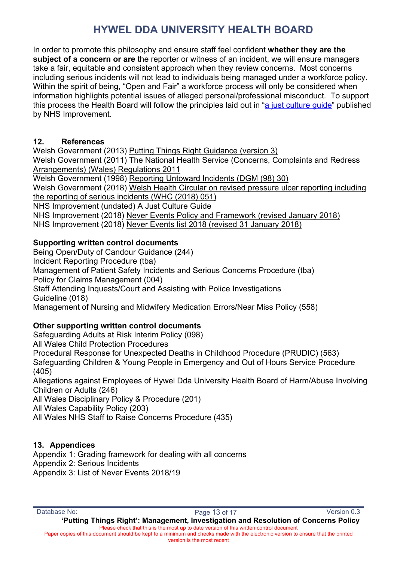In order to promote this philosophy and ensure staff feel confident **whether they are the subject of a concern or are** the reporter or witness of an incident, we will ensure managers take a fair, equitable and consistent approach when they review concerns. Most concerns including serious incidents will not lead to individuals being managed under a workforce policy. Within the spirit of being, "Open and Fair" a workforce process will only be considered when information highlights potential issues of alleged personal/professional misconduct. To support this process the Health Board will follow the principles laid out in "a just culture guide" published by NHS Improvement.

#### **12. References**

Welsh Government (2013) Putting Things Right Guidance (version 3) Welsh Government (2011) The National Health Service (Concerns, Complaints and Redress Arrangements) (Wales) Regulations 2011 Welsh Government (1998) Reporting Untoward Incidents (DGM (98) 30) Welsh Government (2018) Welsh Health Circular on revised pressure ulcer reporting including the reporting of serious incidents (WHC (2018) 051) NHS Improvement (undated) A Just Culture Guide NHS Improvement (2018) Never Events Policy and Framework (revised January 2018) NHS Improvement (2018) Never Events list 2018 (revised 31 January 2018)

### **Supporting written control documents**

Being Open/Duty of Candour Guidance (244) Incident Reporting Procedure (tba) Management of Patient Safety Incidents and Serious Concerns Procedure (tba) Policy for Claims Management (004) Staff Attending Inquests/Court and Assisting with Police Investigations Guideline (018) Management of Nursing and Midwifery Medication Errors/Near Miss Policy (558)

### **Other supporting written control documents**

Safeguarding Adults at Risk Interim Policy (098)

All Wales Child Protection Procedures

Procedural Response for Unexpected Deaths in Childhood Procedure (PRUDIC) (563)

Safeguarding Children & Young People in Emergency and Out of Hours Service Procedure (405)

Allegations against Employees of Hywel Dda University Health Board of Harm/Abuse Involving Children or Adults (246)

All Wales Disciplinary Policy & Procedure (201)

All Wales Capability Policy (203)

All Wales NHS Staff to Raise Concerns Procedure (435)

### **13. Appendices**

Appendix 1: Grading framework for dealing with all concerns Appendix 2: Serious Incidents Appendix 3: List of Never Events 2018/19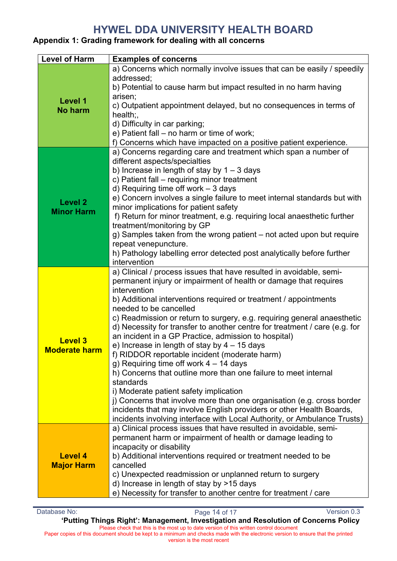### **Appendix 1: Grading framework for dealing with all concerns**

| <b>Level of Harm</b>                   | <b>Examples of concerns</b>                                                                                                                                                                                                                                                                                                                                                                                                                                                                                                                                                                                                                                                                                                                                                                                                                                                                                                                                                   |  |  |
|----------------------------------------|-------------------------------------------------------------------------------------------------------------------------------------------------------------------------------------------------------------------------------------------------------------------------------------------------------------------------------------------------------------------------------------------------------------------------------------------------------------------------------------------------------------------------------------------------------------------------------------------------------------------------------------------------------------------------------------------------------------------------------------------------------------------------------------------------------------------------------------------------------------------------------------------------------------------------------------------------------------------------------|--|--|
| Level 1<br><b>No harm</b>              | a) Concerns which normally involve issues that can be easily / speedily<br>addressed;<br>b) Potential to cause harm but impact resulted in no harm having<br>arisen;<br>c) Outpatient appointment delayed, but no consequences in terms of<br>$health$ ;<br>d) Difficulty in car parking;<br>e) Patient fall - no harm or time of work;<br>f) Concerns which have impacted on a positive patient experience.                                                                                                                                                                                                                                                                                                                                                                                                                                                                                                                                                                  |  |  |
| <b>Level 2</b><br><b>Minor Harm</b>    | a) Concerns regarding care and treatment which span a number of<br>different aspects/specialties<br>b) Increase in length of stay by $1 - 3$ days<br>c) Patient fall - requiring minor treatment<br>d) Requiring time off work $-3$ days<br>e) Concern involves a single failure to meet internal standards but with<br>minor implications for patient safety<br>f) Return for minor treatment, e.g. requiring local anaesthetic further<br>treatment/monitoring by GP<br>g) Samples taken from the wrong patient - not acted upon but require<br>repeat venepuncture.<br>h) Pathology labelling error detected post analytically before further<br>intervention                                                                                                                                                                                                                                                                                                              |  |  |
| <b>Level 3</b><br><b>Moderate harm</b> | a) Clinical / process issues that have resulted in avoidable, semi-<br>permanent injury or impairment of health or damage that requires<br>intervention<br>b) Additional interventions required or treatment / appointments<br>needed to be cancelled<br>c) Readmission or return to surgery, e.g. requiring general anaesthetic<br>d) Necessity for transfer to another centre for treatment / care (e.g. for<br>an incident in a GP Practice, admission to hospital)<br>e) Increase in length of stay by $4 - 15$ days<br>f) RIDDOR reportable incident (moderate harm)<br>g) Requiring time off work $4 - 14$ days<br>h) Concerns that outline more than one failure to meet internal<br>standards<br>i) Moderate patient safety implication<br>j) Concerns that involve more than one organisation (e.g. cross border<br>incidents that may involve English providers or other Health Boards,<br>incidents involving interface with Local Authority, or Ambulance Trusts) |  |  |
| <b>Level 4</b><br><b>Major Harm</b>    | a) Clinical process issues that have resulted in avoidable, semi-<br>permanent harm or impairment of health or damage leading to<br>incapacity or disability<br>b) Additional interventions required or treatment needed to be<br>cancelled<br>c) Unexpected readmission or unplanned return to surgery<br>d) Increase in length of stay by >15 days<br>e) Necessity for transfer to another centre for treatment / care                                                                                                                                                                                                                                                                                                                                                                                                                                                                                                                                                      |  |  |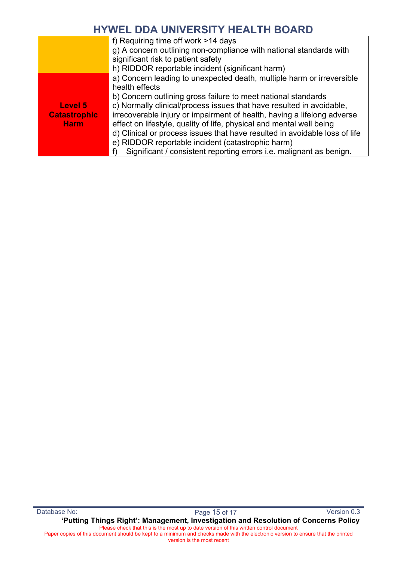|                     | f) Requiring time off work >14 days                                        |
|---------------------|----------------------------------------------------------------------------|
|                     | g) A concern outlining non-compliance with national standards with         |
|                     | significant risk to patient safety                                         |
|                     | h) RIDDOR reportable incident (significant harm)                           |
|                     | a) Concern leading to unexpected death, multiple harm or irreversible      |
|                     | health effects                                                             |
|                     | b) Concern outlining gross failure to meet national standards              |
| Level 5             | c) Normally clinical/process issues that have resulted in avoidable,       |
| <b>Catastrophic</b> | irrecoverable injury or impairment of health, having a lifelong adverse    |
| <b>Harm</b>         | effect on lifestyle, quality of life, physical and mental well being       |
|                     | d) Clinical or process issues that have resulted in avoidable loss of life |
|                     | e) RIDDOR reportable incident (catastrophic harm)                          |
|                     | Significant / consistent reporting errors i.e. malignant as benign.        |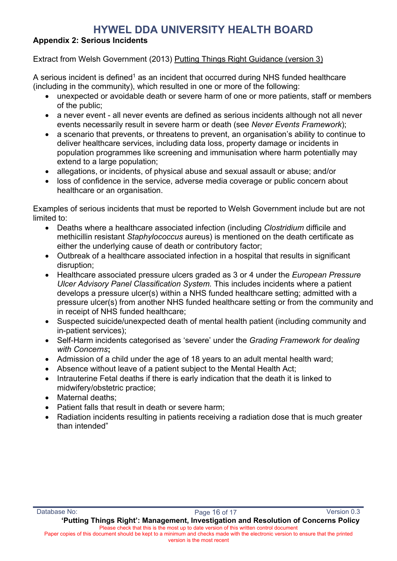#### **Appendix 2: Serious Incidents**

#### Extract from Welsh Government (2013) Putting Things Right Guidance (version 3)

A serious incident is defined<sup>1</sup> as an incident that occurred during NHS funded healthcare (including in the community), which resulted in one or more of the following:

- unexpected or avoidable death or severe harm of one or more patients, staff or members of the public;
- a never event all never events are defined as serious incidents although not all never events necessarily result in severe harm or death (see *Never Events Framework*);
- a scenario that prevents, or threatens to prevent, an organisation's ability to continue to deliver healthcare services, including data loss, property damage or incidents in population programmes like screening and immunisation where harm potentially may extend to a large population;
- allegations, or incidents, of physical abuse and sexual assault or abuse; and/or
- loss of confidence in the service, adverse media coverage or public concern about healthcare or an organisation.

Examples of serious incidents that must be reported to Welsh Government include but are not limited to:

- Deaths where a healthcare associated infection (including *Clostridium* difficile and methicillin resistant *Staphylococcus* aureus) is mentioned on the death certificate as either the underlying cause of death or contributory factor;
- Outbreak of a healthcare associated infection in a hospital that results in significant disruption;
- Healthcare associated pressure ulcers graded as 3 or 4 under the *European Pressure Ulcer Advisory Panel Classification System.* This includes incidents where a patient develops a pressure ulcer(s) within a NHS funded healthcare setting; admitted with a pressure ulcer(s) from another NHS funded healthcare setting or from the community and in receipt of NHS funded healthcare;
- Suspected suicide/unexpected death of mental health patient (including community and in-patient services);
- Self-Harm incidents categorised as 'severe' under the *Grading Framework for dealing with Concerns***;**
- Admission of a child under the age of 18 years to an adult mental health ward;
- Absence without leave of a patient subject to the Mental Health Act;
- Intrauterine Fetal deaths if there is early indication that the death it is linked to midwifery/obstetric practice;
- Maternal deaths:
- Patient falls that result in death or severe harm;
- Radiation incidents resulting in patients receiving a radiation dose that is much greater than intended"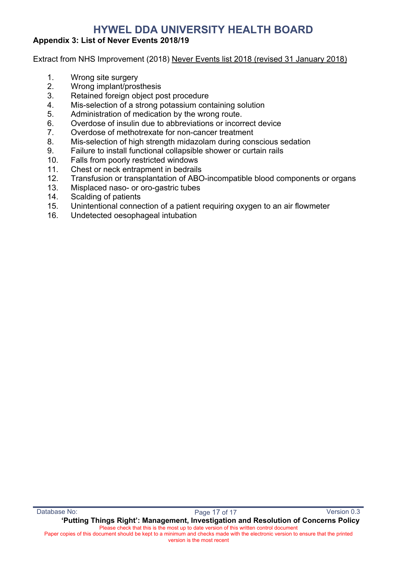#### **Appendix 3: List of Never Events 2018/19**

Extract from NHS Improvement (2018) Never Events list 2018 (revised 31 January 2018)

- 1. Wrong site surgery
- 2. Wrong implant/prosthesis
- 3. Retained foreign object post procedure
- 4. Mis-selection of a strong potassium containing solution
- 5. Administration of medication by the wrong route.
- 6. Overdose of insulin due to abbreviations or incorrect device
- 7. Overdose of methotrexate for non-cancer treatment
- 8. Mis-selection of high strength midazolam during conscious sedation
- 9. Failure to install functional collapsible shower or curtain rails
- 10. Falls from poorly restricted windows
- 11. Chest or neck entrapment in bedrails
- 12. Transfusion or transplantation of ABO-incompatible blood components or organs
- 13. Misplaced naso- or oro-gastric tubes
- 14. Scalding of patients
- 15. Unintentional connection of a patient requiring oxygen to an air flowmeter
- 16. Undetected oesophageal intubation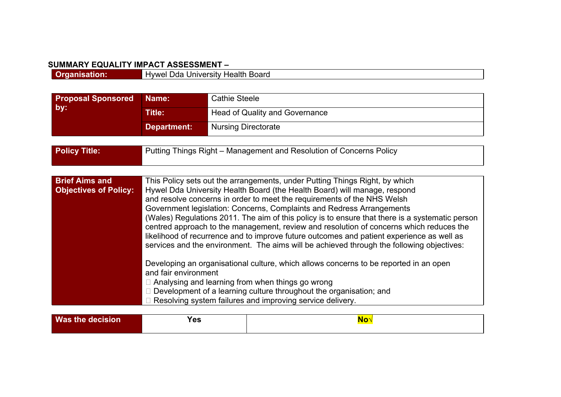#### **SUMMARY EQUALITY IMPACT ASSESSMENT –**

| ---- |                                                                        |
|------|------------------------------------------------------------------------|
|      | Innrn<br>11/NM <sup>1</sup><br>теан<br>™−⊓<br>∵ ⊓∪aru<br>,,,,,<br>5111 |
|      |                                                                        |

<span id="page-23-0"></span>

| <b>Proposal Sponsored</b>                             | Name:                                                               | <b>Cathie Steele</b>                                                                                                                                                                                                                                                                                                                                                                                                                                                                                                                                                                                                                                                                                                                                                                                                                                                                                                                                                                                 |  |
|-------------------------------------------------------|---------------------------------------------------------------------|------------------------------------------------------------------------------------------------------------------------------------------------------------------------------------------------------------------------------------------------------------------------------------------------------------------------------------------------------------------------------------------------------------------------------------------------------------------------------------------------------------------------------------------------------------------------------------------------------------------------------------------------------------------------------------------------------------------------------------------------------------------------------------------------------------------------------------------------------------------------------------------------------------------------------------------------------------------------------------------------------|--|
| by:                                                   | <b>Title:</b>                                                       | <b>Head of Quality and Governance</b>                                                                                                                                                                                                                                                                                                                                                                                                                                                                                                                                                                                                                                                                                                                                                                                                                                                                                                                                                                |  |
|                                                       | <b>Department:</b>                                                  | <b>Nursing Directorate</b>                                                                                                                                                                                                                                                                                                                                                                                                                                                                                                                                                                                                                                                                                                                                                                                                                                                                                                                                                                           |  |
|                                                       |                                                                     |                                                                                                                                                                                                                                                                                                                                                                                                                                                                                                                                                                                                                                                                                                                                                                                                                                                                                                                                                                                                      |  |
| <b>Policy Title:</b>                                  | Putting Things Right – Management and Resolution of Concerns Policy |                                                                                                                                                                                                                                                                                                                                                                                                                                                                                                                                                                                                                                                                                                                                                                                                                                                                                                                                                                                                      |  |
|                                                       |                                                                     |                                                                                                                                                                                                                                                                                                                                                                                                                                                                                                                                                                                                                                                                                                                                                                                                                                                                                                                                                                                                      |  |
|                                                       |                                                                     |                                                                                                                                                                                                                                                                                                                                                                                                                                                                                                                                                                                                                                                                                                                                                                                                                                                                                                                                                                                                      |  |
| <b>Brief Aims and</b><br><b>Objectives of Policy:</b> | and fair environment                                                | This Policy sets out the arrangements, under Putting Things Right, by which<br>Hywel Dda University Health Board (the Health Board) will manage, respond<br>and resolve concerns in order to meet the requirements of the NHS Welsh<br>Government legislation: Concerns, Complaints and Redress Arrangements<br>(Wales) Regulations 2011. The aim of this policy is to ensure that there is a systematic person<br>centred approach to the management, review and resolution of concerns which reduces the<br>likelihood of recurrence and to improve future outcomes and patient experience as well as<br>services and the environment. The aims will be achieved through the following objectives:<br>Developing an organisational culture, which allows concerns to be reported in an open<br>$\Box$ Analysing and learning from when things go wrong<br>$\Box$ Development of a learning culture throughout the organisation; and<br>□ Resolving system failures and improving service delivery. |  |

| <b>Was the</b><br>.<br><b>aecision</b> | -- | 88 C. |
|----------------------------------------|----|-------|
|                                        |    |       |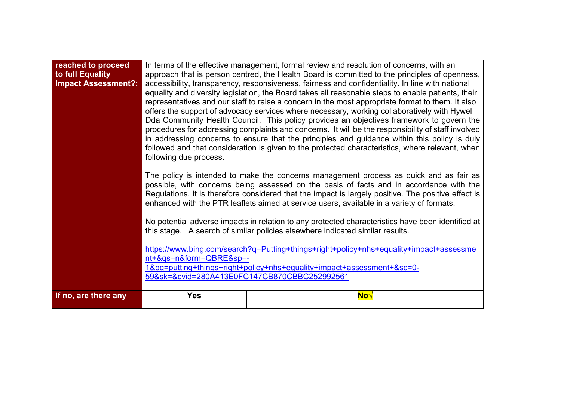| reached to proceed<br>to full Equality<br><b>Impact Assessment?:</b> | following due process.<br>nt+&qs=n&form=QBRE&sp=- | In terms of the effective management, formal review and resolution of concerns, with an<br>approach that is person centred, the Health Board is committed to the principles of openness,<br>accessibility, transparency, responsiveness, fairness and confidentiality. In line with national<br>equality and diversity legislation, the Board takes all reasonable steps to enable patients, their<br>representatives and our staff to raise a concern in the most appropriate format to them. It also<br>offers the support of advocacy services where necessary, working collaboratively with Hywel<br>Dda Community Health Council. This policy provides an objectives framework to govern the<br>procedures for addressing complaints and concerns. It will be the responsibility of staff involved<br>in addressing concerns to ensure that the principles and guidance within this policy is duly<br>followed and that consideration is given to the protected characteristics, where relevant, when<br>The policy is intended to make the concerns management process as quick and as fair as<br>possible, with concerns being assessed on the basis of facts and in accordance with the<br>Regulations. It is therefore considered that the impact is largely positive. The positive effect is<br>enhanced with the PTR leaflets aimed at service users, available in a variety of formats.<br>No potential adverse impacts in relation to any protected characteristics have been identified at<br>this stage. A search of similar policies elsewhere indicated similar results.<br>https://www.bing.com/search?q=Putting+things+right+policy+nhs+equality+impact+assessme<br>1&pq=putting+things+right+policy+nhs+equality+impact+assessment+≻=0-<br>59&sk=&cvid=280A413E0FC147CB870CBBC252992561 |  |  |  |
|----------------------------------------------------------------------|---------------------------------------------------|-------------------------------------------------------------------------------------------------------------------------------------------------------------------------------------------------------------------------------------------------------------------------------------------------------------------------------------------------------------------------------------------------------------------------------------------------------------------------------------------------------------------------------------------------------------------------------------------------------------------------------------------------------------------------------------------------------------------------------------------------------------------------------------------------------------------------------------------------------------------------------------------------------------------------------------------------------------------------------------------------------------------------------------------------------------------------------------------------------------------------------------------------------------------------------------------------------------------------------------------------------------------------------------------------------------------------------------------------------------------------------------------------------------------------------------------------------------------------------------------------------------------------------------------------------------------------------------------------------------------------------------------------------------------------------------------------------------------------------------------------------------------------------------------------------------|--|--|--|
| If no, are there any                                                 | <b>Yes</b>                                        | No√                                                                                                                                                                                                                                                                                                                                                                                                                                                                                                                                                                                                                                                                                                                                                                                                                                                                                                                                                                                                                                                                                                                                                                                                                                                                                                                                                                                                                                                                                                                                                                                                                                                                                                                                                                                                         |  |  |  |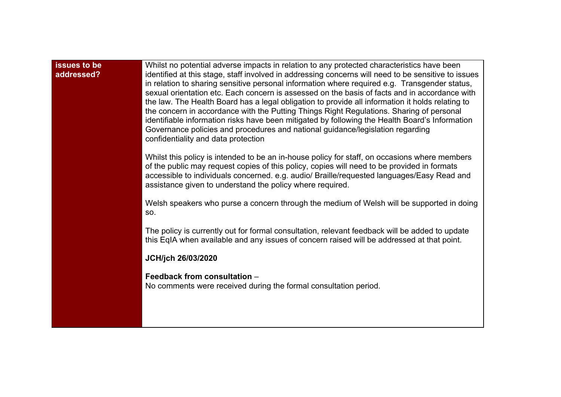| <b>issues to be</b><br>addressed? | Whilst no potential adverse impacts in relation to any protected characteristics have been<br>identified at this stage, staff involved in addressing concerns will need to be sensitive to issues<br>in relation to sharing sensitive personal information where required e.g. Transgender status,<br>sexual orientation etc. Each concern is assessed on the basis of facts and in accordance with<br>the law. The Health Board has a legal obligation to provide all information it holds relating to<br>the concern in accordance with the Putting Things Right Regulations. Sharing of personal<br>identifiable information risks have been mitigated by following the Health Board's Information<br>Governance policies and procedures and national guidance/legislation regarding<br>confidentiality and data protection |  |  |
|-----------------------------------|--------------------------------------------------------------------------------------------------------------------------------------------------------------------------------------------------------------------------------------------------------------------------------------------------------------------------------------------------------------------------------------------------------------------------------------------------------------------------------------------------------------------------------------------------------------------------------------------------------------------------------------------------------------------------------------------------------------------------------------------------------------------------------------------------------------------------------|--|--|
|                                   | Whilst this policy is intended to be an in-house policy for staff, on occasions where members<br>of the public may request copies of this policy, copies will need to be provided in formats<br>accessible to individuals concerned. e.g. audio/ Braille/requested languages/Easy Read and<br>assistance given to understand the policy where required.                                                                                                                                                                                                                                                                                                                                                                                                                                                                        |  |  |
|                                   | Welsh speakers who purse a concern through the medium of Welsh will be supported in doing<br>SO.                                                                                                                                                                                                                                                                                                                                                                                                                                                                                                                                                                                                                                                                                                                               |  |  |
|                                   | The policy is currently out for formal consultation, relevant feedback will be added to update<br>this EqIA when available and any issues of concern raised will be addressed at that point.                                                                                                                                                                                                                                                                                                                                                                                                                                                                                                                                                                                                                                   |  |  |
|                                   | JCH/jch 26/03/2020                                                                                                                                                                                                                                                                                                                                                                                                                                                                                                                                                                                                                                                                                                                                                                                                             |  |  |
|                                   | Feedback from consultation -<br>No comments were received during the formal consultation period.                                                                                                                                                                                                                                                                                                                                                                                                                                                                                                                                                                                                                                                                                                                               |  |  |
|                                   |                                                                                                                                                                                                                                                                                                                                                                                                                                                                                                                                                                                                                                                                                                                                                                                                                                |  |  |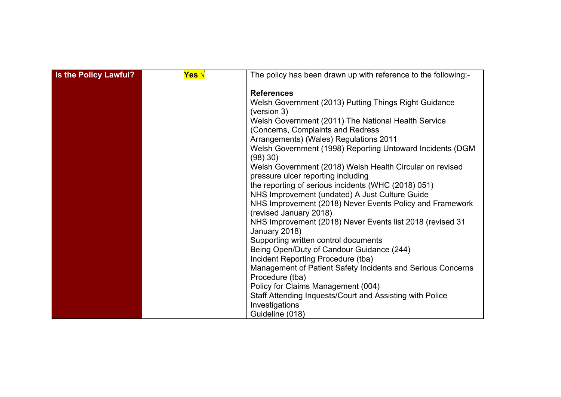| Is the Policy Lawful? | Yes √ | The policy has been drawn up with reference to the following:- |
|-----------------------|-------|----------------------------------------------------------------|
|                       |       |                                                                |
|                       |       | <b>References</b>                                              |
|                       |       | Welsh Government (2013) Putting Things Right Guidance          |
|                       |       | (version 3)                                                    |
|                       |       | Welsh Government (2011) The National Health Service            |
|                       |       | (Concerns, Complaints and Redress                              |
|                       |       | Arrangements) (Wales) Regulations 2011                         |
|                       |       | Welsh Government (1998) Reporting Untoward Incidents (DGM      |
|                       |       | (98) 30)                                                       |
|                       |       | Welsh Government (2018) Welsh Health Circular on revised       |
|                       |       | pressure ulcer reporting including                             |
|                       |       | the reporting of serious incidents (WHC (2018) 051)            |
|                       |       | NHS Improvement (undated) A Just Culture Guide                 |
|                       |       | NHS Improvement (2018) Never Events Policy and Framework       |
|                       |       | (revised January 2018)                                         |
|                       |       | NHS Improvement (2018) Never Events list 2018 (revised 31      |
|                       |       | January 2018)                                                  |
|                       |       | Supporting written control documents                           |
|                       |       | Being Open/Duty of Candour Guidance (244)                      |
|                       |       | Incident Reporting Procedure (tba)                             |
|                       |       | Management of Patient Safety Incidents and Serious Concerns    |
|                       |       | Procedure (tba)                                                |
|                       |       |                                                                |
|                       |       | Policy for Claims Management (004)                             |
|                       |       | Staff Attending Inquests/Court and Assisting with Police       |
|                       |       | Investigations                                                 |
|                       |       | Guideline (018)                                                |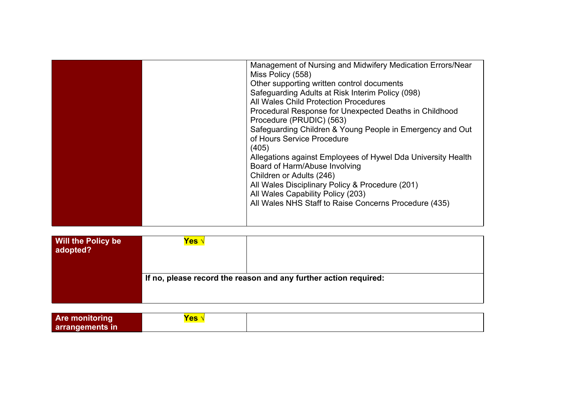|  | Management of Nursing and Midwifery Medication Errors/Near   |
|--|--------------------------------------------------------------|
|  | Miss Policy (558)                                            |
|  | Other supporting written control documents                   |
|  | Safeguarding Adults at Risk Interim Policy (098)             |
|  | All Wales Child Protection Procedures                        |
|  | Procedural Response for Unexpected Deaths in Childhood       |
|  | Procedure (PRUDIC) (563)                                     |
|  | Safeguarding Children & Young People in Emergency and Out    |
|  | of Hours Service Procedure                                   |
|  | (405)                                                        |
|  | Allegations against Employees of Hywel Dda University Health |
|  | Board of Harm/Abuse Involving                                |
|  | Children or Adults (246)                                     |
|  | All Wales Disciplinary Policy & Procedure (201)              |
|  | All Wales Capability Policy (203)                            |
|  | All Wales NHS Staff to Raise Concerns Procedure (435)        |
|  |                                                              |
|  |                                                              |
|  |                                                              |

| <b>Will the Policy be</b><br>adopted? | Yes ∿ |                                                                  |
|---------------------------------------|-------|------------------------------------------------------------------|
|                                       |       | If no, please record the reason and any further action required: |

| <b>Are monitoring</b> | <u>Yes</u> |  |
|-----------------------|------------|--|
| arrangements in       |            |  |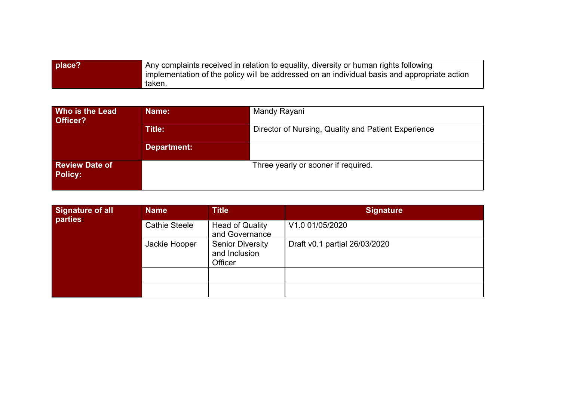| place? | Any complaints received in relation to equality, diversity or human rights following<br>implementation of the policy will be addressed on an individual basis and appropriate action |
|--------|--------------------------------------------------------------------------------------------------------------------------------------------------------------------------------------|
|        | taken.                                                                                                                                                                               |

| <b>Who is the Lead</b><br>Officer?      | Name:       | Mandy Rayani                                        |
|-----------------------------------------|-------------|-----------------------------------------------------|
|                                         | Title:      | Director of Nursing, Quality and Patient Experience |
|                                         | Department: |                                                     |
| <b>Review Date of</b><br><b>Policy:</b> |             | Three yearly or sooner if required.                 |

| Signature of all<br>parties: | <b>Name</b>          | <b>Title</b>                                        | <b>Signature</b>              |
|------------------------------|----------------------|-----------------------------------------------------|-------------------------------|
|                              | <b>Cathie Steele</b> | <b>Head of Quality</b><br>and Governance            | V1.0 01/05/2020               |
|                              | Jackie Hooper        | <b>Senior Diversity</b><br>and Inclusion<br>Officer | Draft v0.1 partial 26/03/2020 |
|                              |                      |                                                     |                               |
|                              |                      |                                                     |                               |